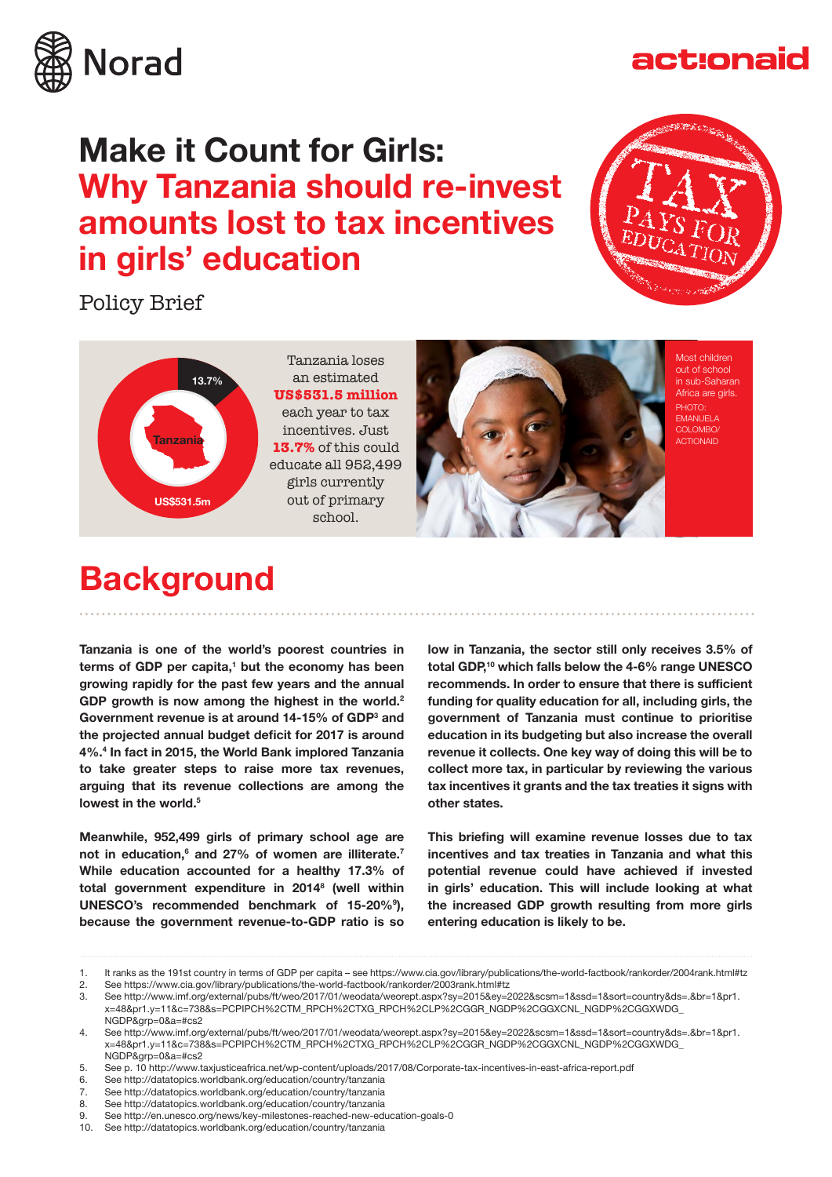

## **Make it Count for Girls: Why Tanzania should re-invest amounts lost to tax incentives in girls' education**

Policy Brief



act:onaid



Tanzania loses an estimated **US\$531.5 million** each year to tax incentives. Just **13.7%** of this could educate all 952,499 girls currently out of primary school.



Most children out of school in sub-Saharan Africa are girls. PHOTO: EMANUELA COLOMBO ACTIONAID

### **Background**

**Tanzania is one of the world's poorest countries in**  terms of GDP per capita,<sup>1</sup> but the economy has been **growing rapidly for the past few years and the annual GDP growth is now among the highest in the world.2** Government revenue is at around 14-15% of GDP<sup>3</sup> and **the projected annual budget deficit for 2017 is around 4%.4 In fact in 2015, the World Bank implored Tanzania to take greater steps to raise more tax revenues, arguing that its revenue collections are among the lowest in the world.5** 

**Meanwhile, 952,499 girls of primary school age are not in education,6 and 27% of women are illiterate.7 While education accounted for a healthy 17.3% of total government expenditure in 2014<sup>8</sup> (well within UNESCO's recommended benchmark of 15-20%<sup>9</sup> ), because the government revenue-to-GDP ratio is so** 

**low in Tanzania, the sector still only receives 3.5% of total GDP,<sup>10</sup> which falls below the 4-6% range UNESCO recommends. In order to ensure that there is sufficient funding for quality education for all, including girls, the government of Tanzania must continue to prioritise education in its budgeting but also increase the overall revenue it collects. One key way of doing this will be to collect more tax, in particular by reviewing the various tax incentives it grants and the tax treaties it signs with other states.** 

**This briefing will examine revenue losses due to tax incentives and tax treaties in Tanzania and what this potential revenue could have achieved if invested in girls' education. This will include looking at what the increased GDP growth resulting from more girls entering education is likely to be.** 

10. See http://datatopics.worldbank.org/education/country/tanzania

<sup>1.</sup> It ranks as the 191st country in terms of GDP per capita – see https://www.cia.gov/library/publications/the-world-factbook/rankorder/2004rank.html#tz<br>2. See https://www.cia.gov/library/publications/the-world-factbook/ra

<sup>2.</sup> See https://www.cia.gov/library/publications/the-world-factbook/rankorder/2003rank.html#tz<br>3. See http://www.imf.org/external/pubs/ft/weo/2017/01/weodata/weorent.aspx?sv=2015&ev=2

<sup>3.</sup> See http://www.imf.org/external/pubs/ft/weo/2017/01/weodata/weorept.aspx?sy=2015&ey=2022&scsm=1&ssd=1&sort=country&ds=.&br=1&pr1. x=48&pr1.y=11&c=738&s=PCPIPCH%2CTM\_RPCH%2CTXG\_RPCH%2CLP%2CGGR\_NGDP%2CGGXCNL\_NGDP%2CGGXWDG\_ NGDP&grp=0&a=#cs2

<sup>4.</sup> See http://www.imf.org/external/pubs/ft/weo/2017/01/weodata/weorept.aspx?sy=2015&ey=2022&scsm=1&ssd=1&sort=country&ds=.&br=1&pr1. x=48&pr1.y=11&c=738&s=PCPIPCH%2CTM\_RPCH%2CTXG\_RPCH%2CLP%2CGGR\_NGDP%2CGGXCNL\_NGDP%2CGGXWDG\_ NGDP&grp=0&a=#cs2

<sup>5.</sup> See p. 10 http://www.taxjusticeafrica.net/wp-content/uploads/2017/08/Corporate-tax-incentives-in-east-africa-report.pdf

<sup>6.</sup> See http://datatopics.worldbank.org/education/country/tanzania

<sup>7.</sup> See http://datatopics.worldbank.org/education/country/tanzania

<sup>8.</sup> See http://datatopics.worldbank.org/education/country/tanzania

<sup>9.</sup> See http://en.unesco.org/news/key-milestones-reached-new-education-goals-0<br>10. See http://datatopics.worldbank.org/education/country/tanzania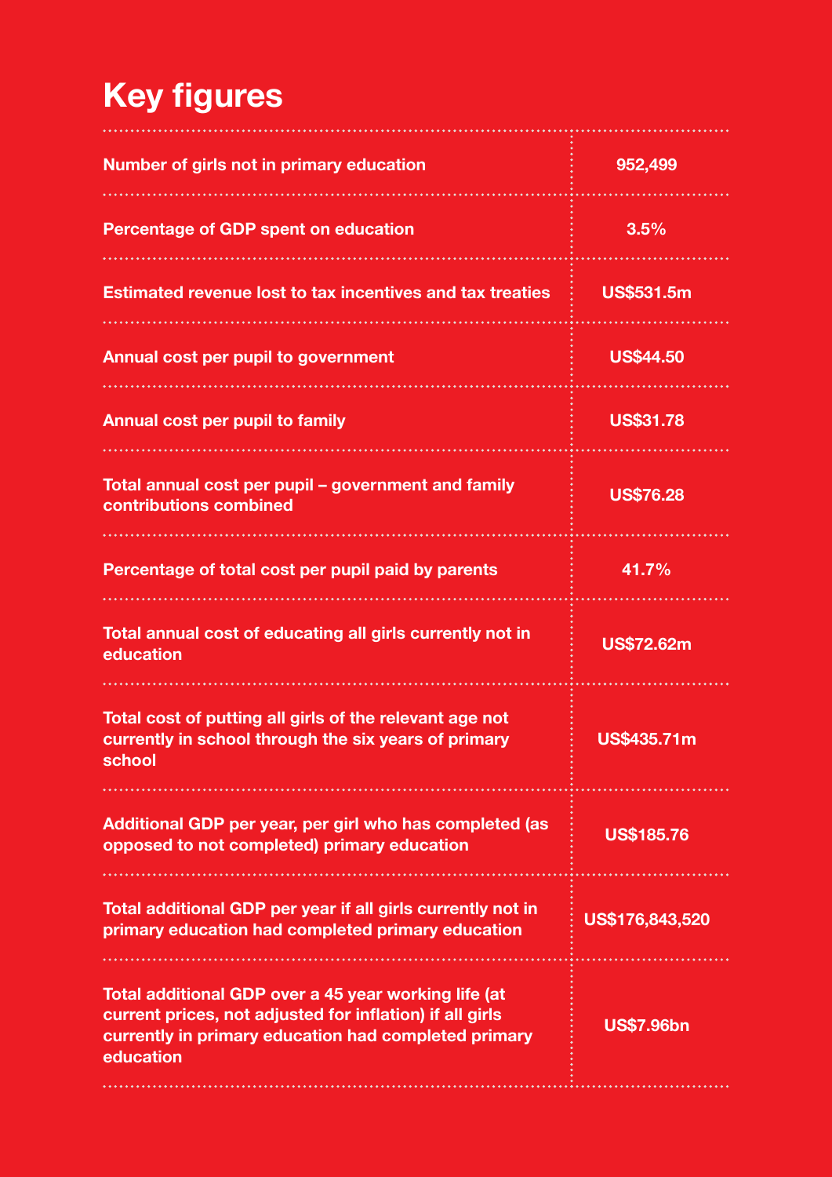# **Key figures**

| Number of girls not in primary education                                                                                                                                              | 952,499            |
|---------------------------------------------------------------------------------------------------------------------------------------------------------------------------------------|--------------------|
| <b>Percentage of GDP spent on education</b>                                                                                                                                           | 3.5%               |
| <b>Estimated revenue lost to tax incentives and tax treaties</b>                                                                                                                      | <b>US\$531.5m</b>  |
| <b>Annual cost per pupil to government</b>                                                                                                                                            | <b>US\$44.50</b>   |
| Annual cost per pupil to family                                                                                                                                                       | <b>US\$31.78</b>   |
| Total annual cost per pupil – government and family<br>contributions combined                                                                                                         | <b>US\$76.28</b>   |
| Percentage of total cost per pupil paid by parents                                                                                                                                    | 41.7%              |
| Total annual cost of educating all girls currently not in<br>education                                                                                                                | <b>US\$72.62m</b>  |
| Total cost of putting all girls of the relevant age not<br>currently in school through the six years of primary<br>school                                                             | <b>US\$435.71m</b> |
| Additional GDP per year, per girl who has completed (as<br>opposed to not completed) primary education                                                                                | <b>US\$185.76</b>  |
| Total additional GDP per year if all girls currently not in<br>primary education had completed primary education                                                                      | US\$176,843,520    |
| Total additional GDP over a 45 year working life (at<br>current prices, not adjusted for inflation) if all girls<br>currently in primary education had completed primary<br>education | <b>US\$7.96bn</b>  |
|                                                                                                                                                                                       |                    |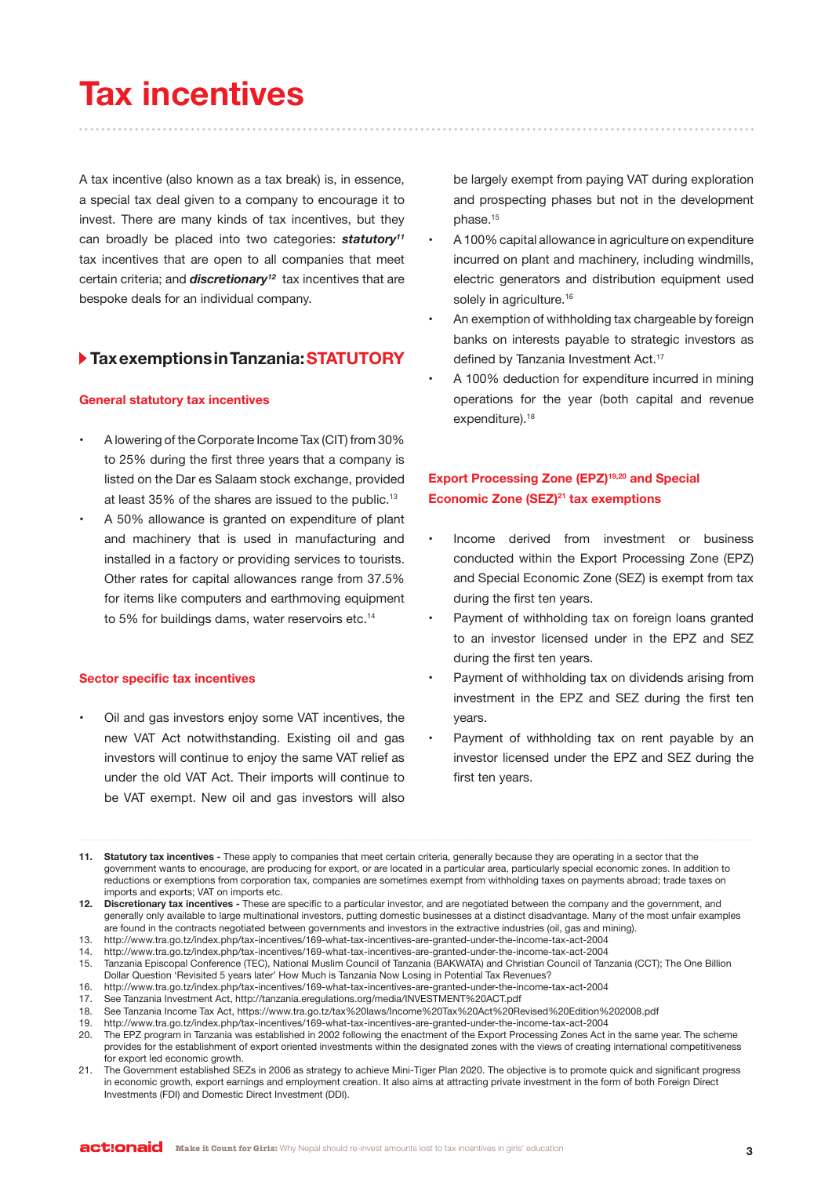## **Tax incentives**

A tax incentive (also known as a tax break) is, in essence, a special tax deal given to a company to encourage it to invest. There are many kinds of tax incentives, but they can broadly be placed into two categories: *statutory11* tax incentives that are open to all companies that meet certain criteria; and *discretionary12* tax incentives that are bespoke deals for an individual company.

### **Tax exemptions in Tanzania: STATUTORY**

### **General statutory tax incentives**

- A lowering of the Corporate Income Tax (CIT) from 30% to 25% during the first three years that a company is listed on the Dar es Salaam stock exchange, provided at least 35% of the shares are issued to the public.<sup>13</sup>
- A 50% allowance is granted on expenditure of plant and machinery that is used in manufacturing and installed in a factory or providing services to tourists. Other rates for capital allowances range from 37.5% for items like computers and earthmoving equipment to 5% for buildings dams, water reservoirs etc.<sup>14</sup>

### **Sector specific tax incentives**

Oil and gas investors enjoy some VAT incentives, the new VAT Act notwithstanding. Existing oil and gas investors will continue to enjoy the same VAT relief as under the old VAT Act. Their imports will continue to be VAT exempt. New oil and gas investors will also be largely exempt from paying VAT during exploration and prospecting phases but not in the development phase.<sup>15</sup>

- A 100% capital allowance in agriculture on expenditure incurred on plant and machinery, including windmills, electric generators and distribution equipment used solely in agriculture.<sup>16</sup>
- An exemption of withholding tax chargeable by foreign banks on interests payable to strategic investors as defined by Tanzania Investment Act.<sup>17</sup>
- A 100% deduction for expenditure incurred in mining operations for the year (both capital and revenue expenditure).<sup>18</sup>

### **Export Processing Zone (EPZ)19,20 and Special Economic Zone (SEZ)21 tax exemptions**

- Income derived from investment or business conducted within the Export Processing Zone (EPZ) and Special Economic Zone (SEZ) is exempt from tax during the first ten years.
- Payment of withholding tax on foreign loans granted to an investor licensed under in the EPZ and SEZ during the first ten years.
- Payment of withholding tax on dividends arising from investment in the EPZ and SEZ during the first ten years.
- Payment of withholding tax on rent payable by an investor licensed under the EPZ and SEZ during the first ten years.

**<sup>11.</sup> Statutory tax incentives -** These apply to companies that meet certain criteria, generally because they are operating in a sector that the government wants to encourage, are producing for export, or are located in a particular area, particularly special economic zones. In addition to reductions or exemptions from corporation tax, companies are sometimes exempt from withholding taxes on payments abroad; trade taxes on imports and exports; VAT on imports etc.

**<sup>12.</sup> Discretionary tax incentives -** These are specific to a particular investor, and are negotiated between the company and the government, and generally only available to large multinational investors, putting domestic businesses at a distinct disadvantage. Many of the most unfair examples are found in the contracts negotiated between governments and investors in the extractive industries (oil, gas and mining).

<sup>13.</sup> http://www.tra.go.tz/index.php/tax-incentives/169-what-tax-incentives-are-granted-under-the-income-tax-act-2004

<sup>14.</sup> http://www.tra.go.tz/index.php/tax-incentives/169-what-tax-incentives-are-granted-under-the-income-tax-act-2004

<sup>15.</sup> Tanzania Episcopal Conference (TEC), National Muslim Council of Tanzania (BAKWATA) and Christian Council of Tanzania (CCT); The One Billion Dollar Question 'Revisited 5 years later' How Much is Tanzania Now Losing in Potential Tax Revenues?

<sup>16.</sup> http://www.tra.go.tz/index.php/tax-incentives/169-what-tax-incentives-are-granted-under-the-income-tax-act-2004

<sup>17.</sup> See Tanzania Investment Act, http://tanzania.eregulations.org/media/INVESTMENT%20ACT.pdf

<sup>18.</sup> See Tanzania Income Tax Act, https://www.tra.go.tz/tax%20laws/Income%20Tax%20Act%20Revised%20Edition%202008.pdf

<sup>19.</sup> http://www.tra.go.tz/index.php/tax-incentives/169-what-tax-incentives-are-granted-under-the-income-tax-act-2004

<sup>20.</sup> The EPZ program in Tanzania was established in 2002 following the enactment of the Export Processing Zones Act in the same year. The scheme provides for the establishment of export oriented investments within the designated zones with the views of creating international competitiveness for export led economic growth.

<sup>21.</sup> The Government established SEZs in 2006 as strategy to achieve Mini-Tiger Plan 2020. The objective is to promote quick and significant progress in economic growth, export earnings and employment creation. It also aims at attracting private investment in the form of both Foreign Direct Investments (FDI) and Domestic Direct Investment (DDI).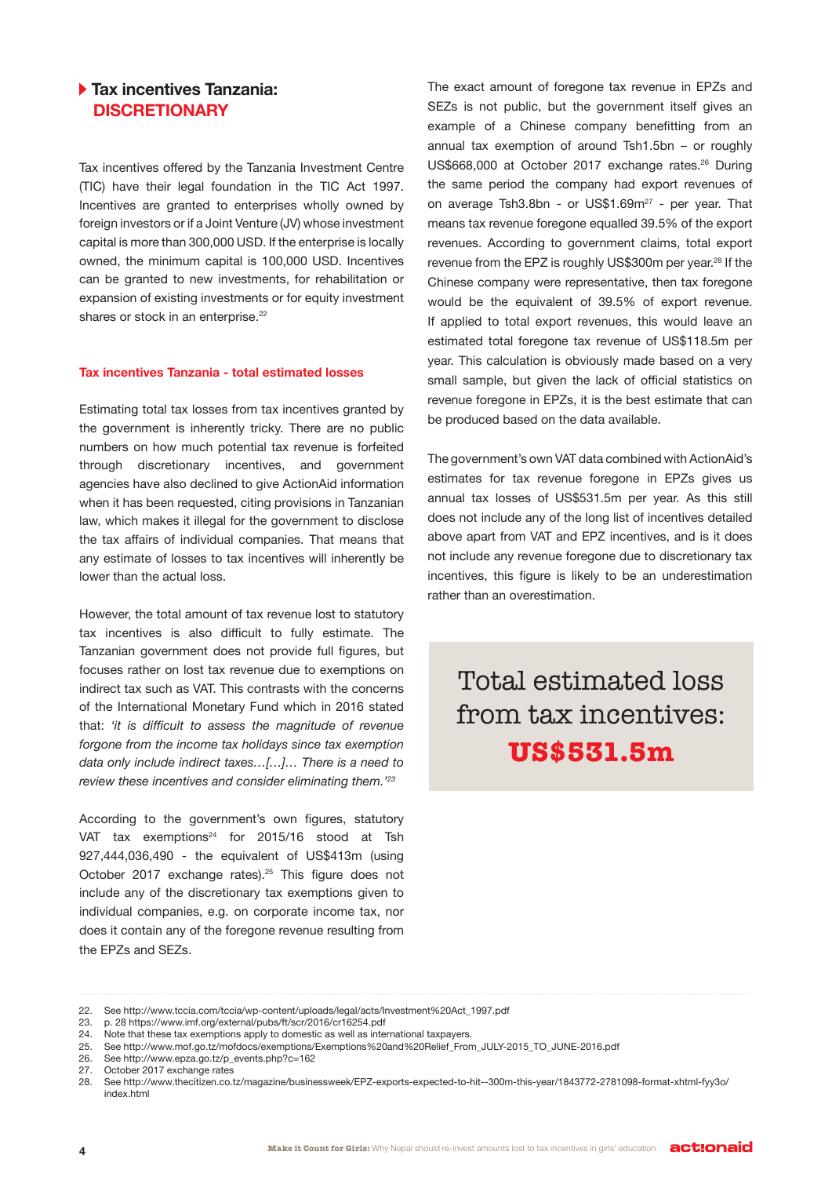### **Tax incentives Tanzania: DISCRETIONARY**

Tax incentives offered by the Tanzania Investment Centre (TIC) have their legal foundation in the TIC Act 1997. Incentives are granted to enterprises wholly owned by foreign investors or if a Joint Venture (JV) whose investment capital is more than 300,000 USD. If the enterprise is locally owned, the minimum capital is 100,000 USD. Incentives can be granted to new investments, for rehabilitation or expansion of existing investments or for equity investment shares or stock in an enterprise.<sup>22</sup>

#### **Tax incentives Tanzania - total estimated losses**

Estimating total tax losses from tax incentives granted by the government is inherently tricky. There are no public numbers on how much potential tax revenue is forfeited through discretionary incentives, and government agencies have also declined to give ActionAid information when it has been requested, citing provisions in Tanzanian law, which makes it illegal for the government to disclose the tax affairs of individual companies. That means that any estimate of losses to tax incentives will inherently be lower than the actual loss.

However, the total amount of tax revenue lost to statutory tax incentives is also difficult to fully estimate. The Tanzanian government does not provide full figures, but focuses rather on lost tax revenue due to exemptions on indirect tax such as VAT. This contrasts with the concerns of the International Monetary Fund which in 2016 stated that: *'it is difficult to assess the magnitude of revenue forgone from the income tax holidays since tax exemption data only include indirect taxes…[…]… There is a need to review these incentives and consider eliminating them.'<sup>23</sup>*

According to the government's own figures, statutory VAT tax exemptions $24$  for 2015/16 stood at Tsh 927,444,036,490 - the equivalent of US\$413m (using October 2017 exchange rates).<sup>25</sup> This figure does not include any of the discretionary tax exemptions given to individual companies, e.g. on corporate income tax, nor does it contain any of the foregone revenue resulting from the EPZs and SEZs.

The exact amount of foregone tax revenue in EPZs and SEZs is not public, but the government itself gives an example of a Chinese company benefitting from an annual tax exemption of around Tsh1.5bn – or roughly US\$668,000 at October 2017 exchange rates.<sup>26</sup> During the same period the company had export revenues of on average Tsh3.8bn - or US\$1.69m<sup>27</sup> - per year. That means tax revenue foregone equalled 39.5% of the export revenues. According to government claims, total export revenue from the EPZ is roughly US\$300m per year.<sup>28</sup> If the Chinese company were representative, then tax foregone would be the equivalent of 39.5% of export revenue. If applied to total export revenues, this would leave an estimated total foregone tax revenue of US\$118.5m per year. This calculation is obviously made based on a very small sample, but given the lack of official statistics on revenue foregone in EPZs, it is the best estimate that can be produced based on the data available.

The government's own VAT data combined with ActionAid's estimates for tax revenue foregone in EPZs gives us annual tax losses of US\$531.5m per year. As this still does not include any of the long list of incentives detailed above apart from VAT and EPZ incentives, and is it does not include any revenue foregone due to discretionary tax incentives, this figure is likely to be an underestimation rather than an overestimation.

Total estimated loss from tax incentives: **US\$531.5m**

<sup>22.</sup> See http://www.tccia.com/tccia/wp-content/uploads/legal/acts/Investment%20Act\_1997.pdf

<sup>23.</sup> p. 28 https://www.imf.org/external/pubs/ft/scr/2016/cr16254.pdf

<sup>24.</sup> Note that these tax exemptions apply to domestic as well as international taxpayers.

<sup>25.</sup> See http://www.mof.go.tz/mofdocs/exemptions/Exemptions%20and%20Relief\_From\_JULY-2015\_TO\_JUNE-2016.pdf

<sup>26.</sup> See http://www.epza.go.tz/p\_events.php?c=162

<sup>27.</sup> October 2017 exchange rates<br>28. See http://www.thecitizen.co.t

<sup>28.</sup> See http://www.thecitizen.co.tz/magazine/businessweek/EPZ-exports-expected-to-hit--300m-this-year/1843772-2781098-format-xhtml-fyy3o/ index.html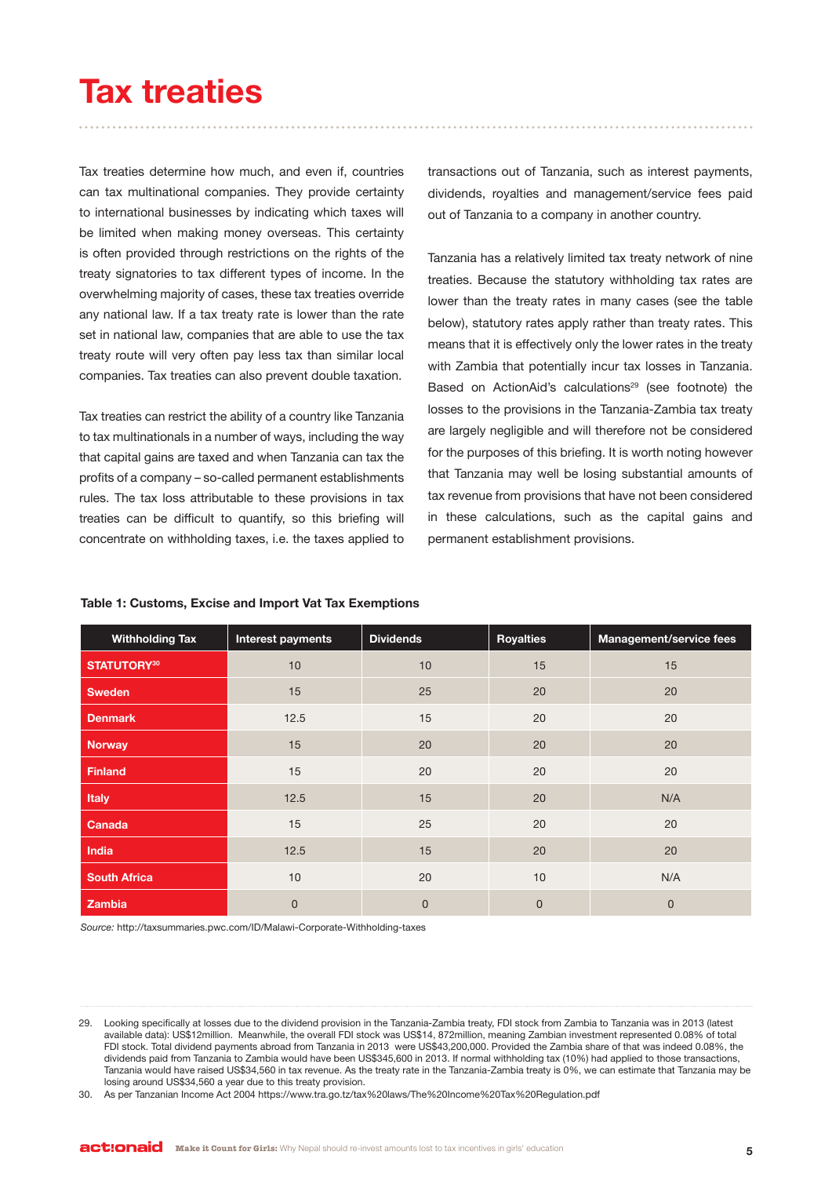## **Tax treaties**

Tax treaties determine how much, and even if, countries can tax multinational companies. They provide certainty to international businesses by indicating which taxes will be limited when making money overseas. This certainty is often provided through restrictions on the rights of the treaty signatories to tax different types of income. In the overwhelming majority of cases, these tax treaties override any national law. If a tax treaty rate is lower than the rate set in national law, companies that are able to use the tax treaty route will very often pay less tax than similar local companies. Tax treaties can also prevent double taxation.

Tax treaties can restrict the ability of a country like Tanzania to tax multinationals in a number of ways, including the way that capital gains are taxed and when Tanzania can tax the profits of a company – so-called permanent establishments rules. The tax loss attributable to these provisions in tax treaties can be difficult to quantify, so this briefing will concentrate on withholding taxes, i.e. the taxes applied to

transactions out of Tanzania, such as interest payments, dividends, royalties and management/service fees paid out of Tanzania to a company in another country.

Tanzania has a relatively limited tax treaty network of nine treaties. Because the statutory withholding tax rates are lower than the treaty rates in many cases (see the table below), statutory rates apply rather than treaty rates. This means that it is effectively only the lower rates in the treaty with Zambia that potentially incur tax losses in Tanzania. Based on ActionAid's calculations<sup>29</sup> (see footnote) the losses to the provisions in the Tanzania-Zambia tax treaty are largely negligible and will therefore not be considered for the purposes of this briefing. It is worth noting however that Tanzania may well be losing substantial amounts of tax revenue from provisions that have not been considered in these calculations, such as the capital gains and permanent establishment provisions.

| <b>Withholding Tax</b> | Interest payments | <b>Dividends</b> | <b>Royalties</b> | Management/service fees |
|------------------------|-------------------|------------------|------------------|-------------------------|
| STATUTORY30            | 10                | 10               | 15               | 15                      |
| <b>Sweden</b>          | 15                | 25               | 20               | 20                      |
| Denmark                | 12.5              | 15               | 20               | 20                      |
| <b>Norway</b>          | 15                | 20               | 20               | 20                      |
| <b>Finland</b>         | 15                | 20               | 20               | 20                      |
| <b>Italy</b>           | 12.5              | 15               | 20               | N/A                     |
| Canada                 | 15                | 25               | 20               | 20                      |
| India                  | 12.5              | 15               | 20               | 20                      |
| <b>South Africa</b>    | 10                | 20               | 10               | N/A                     |
| Zambia                 | 0                 | $\overline{0}$   | $\mathbf 0$      | $\mathbf 0$             |

#### **Table 1: Customs, Excise and Import Vat Tax Exemptions**

*Source:* http://taxsummaries.pwc.com/ID/Malawi-Corporate-Withholding-taxes

<sup>29.</sup> Looking specifically at losses due to the dividend provision in the Tanzania-Zambia treaty, FDI stock from Zambia to Tanzania was in 2013 (latest available data): US\$12million. Meanwhile, the overall FDI stock was US\$14, 872million, meaning Zambian investment represented 0.08% of total FDI stock. Total dividend payments abroad from Tanzania in 2013 were US\$43,200,000. Provided the Zambia share of that was indeed 0.08%, the dividends paid from Tanzania to Zambia would have been US\$345,600 in 2013. If normal withholding tax (10%) had applied to those transactions, Tanzania would have raised US\$34,560 in tax revenue. As the treaty rate in the Tanzania-Zambia treaty is 0%, we can estimate that Tanzania may be losing around US\$34,560 a year due to this treaty provision.

<sup>30.</sup> As per Tanzanian Income Act 2004 https://www.tra.go.tz/tax%20laws/The%20Income%20Tax%20Regulation.pdf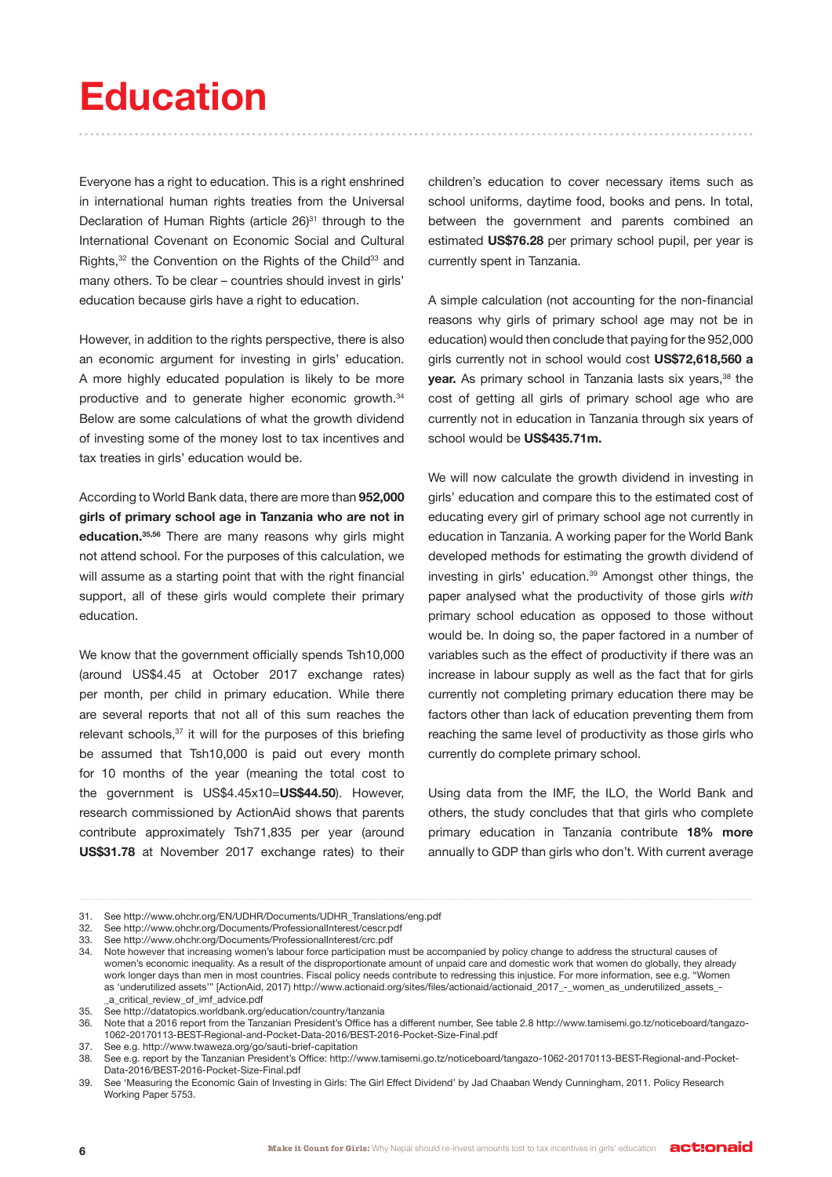# **Education**

Everyone has a right to education. This is a right enshrined in international human rights treaties from the Universal Declaration of Human Rights (article 26)<sup>31</sup> through to the International Covenant on Economic Social and Cultural Rights,<sup>32</sup> the Convention on the Rights of the Child<sup>33</sup> and many others. To be clear – countries should invest in girls' education because girls have a right to education.

However, in addition to the rights perspective, there is also an economic argument for investing in girls' education. A more highly educated population is likely to be more productive and to generate higher economic growth.<sup>34</sup> Below are some calculations of what the growth dividend of investing some of the money lost to tax incentives and tax treaties in girls' education would be.

According to World Bank data, there are more than **952,000 girls of primary school age in Tanzania who are not in education.35,56** There are many reasons why girls might not attend school. For the purposes of this calculation, we will assume as a starting point that with the right financial support, all of these girls would complete their primary education.

We know that the government officially spends Tsh10,000 (around US\$4.45 at October 2017 exchange rates) per month, per child in primary education. While there are several reports that not all of this sum reaches the relevant schools,<sup>37</sup> it will for the purposes of this briefing be assumed that Tsh10,000 is paid out every month for 10 months of the year (meaning the total cost to the government is US\$4.45x10=**US\$44.50**). However, research commissioned by ActionAid shows that parents contribute approximately Tsh71,835 per year (around **US\$31.78** at November 2017 exchange rates) to their children's education to cover necessary items such as school uniforms, daytime food, books and pens. In total, between the government and parents combined an estimated **US\$76.28** per primary school pupil, per year is currently spent in Tanzania.

A simple calculation (not accounting for the non-financial reasons why girls of primary school age may not be in education) would then conclude that paying for the 952,000 girls currently not in school would cost **US\$72,618,560 a year.** As primary school in Tanzania lasts six years,<sup>38</sup> the cost of getting all girls of primary school age who are currently not in education in Tanzania through six years of school would be **US\$435.71m.** 

We will now calculate the growth dividend in investing in girls' education and compare this to the estimated cost of educating every girl of primary school age not currently in education in Tanzania. A working paper for the World Bank developed methods for estimating the growth dividend of investing in girls' education.39 Amongst other things, the paper analysed what the productivity of those girls *with*  primary school education as opposed to those without would be. In doing so, the paper factored in a number of variables such as the effect of productivity if there was an increase in labour supply as well as the fact that for girls currently not completing primary education there may be factors other than lack of education preventing them from reaching the same level of productivity as those girls who currently do complete primary school.

Using data from the IMF, the ILO, the World Bank and others, the study concludes that that girls who complete primary education in Tanzania contribute **18% more** annually to GDP than girls who don't. With current average

<sup>31.</sup> See http://www.ohchr.org/EN/UDHR/Documents/UDHR\_Translations/eng.pdf

<sup>32.</sup> See http://www.ohchr.org/Documents/ProfessionalInterest/cescr.pdf

<sup>33.</sup> See http://www.ohchr.org/Documents/ProfessionalInterest/crc.pdf

<sup>34.</sup> Note however that increasing women's labour force participation must be accompanied by policy change to address the structural causes of women's economic inequality. As a result of the disproportionate amount of unpaid care and domestic work that women do globally, they already work longer days than men in most countries. Fiscal policy needs contribute to redressing this injustice. For more information, see e.g. "Women as 'underutilized assets'" [ActionAid, 2017) http://www.actionaid.org/sites/files/actionaid/actionaid\_2017\_-\_women\_as\_underutilized\_assets\_- \_a\_critical\_review\_of\_imf\_advice.pdf

<sup>35.</sup> See http://datatopics.worldbank.org/education/country/tanzania

<sup>36.</sup> Note that a 2016 report from the Tanzanian President's Office has a different number, See table 2.8 http://www.tamisemi.go.tz/noticeboard/tangazo-1062-20170113-BEST-Regional-and-Pocket-Data-2016/BEST-2016-Pocket-Size-Final.pdf

<sup>37.</sup> See e.g. http://www.twaweza.org/go/sauti-brief-capitation

<sup>38.</sup> See e.g. report by the Tanzanian President's Office: http://www.tamisemi.go.tz/noticeboard/tangazo-1062-20170113-BEST-Regional-and-Pocket-Data-2016/BEST-2016-Pocket-Size-Final.pdf

<sup>39.</sup> See 'Measuring the Economic Gain of Investing in Girls: The Girl Effect Dividend' by Jad Chaaban Wendy Cunningham, 2011. Policy Research Working Paper 5753.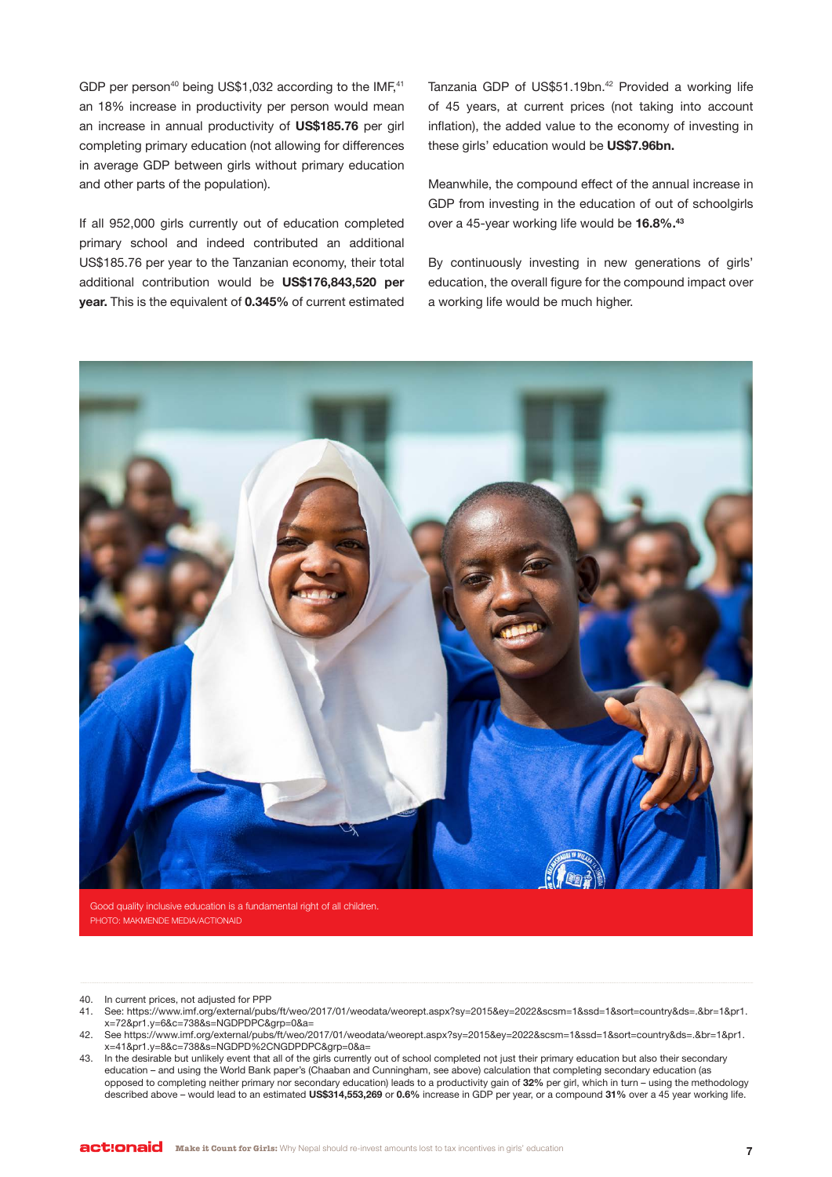GDP per person<sup>40</sup> being US\$1,032 according to the IMF,<sup>41</sup> an 18% increase in productivity per person would mean an increase in annual productivity of **US\$185.76** per girl completing primary education (not allowing for differences in average GDP between girls without primary education and other parts of the population).

If all 952,000 girls currently out of education completed primary school and indeed contributed an additional US\$185.76 per year to the Tanzanian economy, their total additional contribution would be **US\$176,843,520 per year.** This is the equivalent of **0.345%** of current estimated

Tanzania GDP of US\$51.19bn.<sup>42</sup> Provided a working life of 45 years, at current prices (not taking into account inflation), the added value to the economy of investing in these girls' education would be **US\$7.96bn.**

Meanwhile, the compound effect of the annual increase in GDP from investing in the education of out of schoolgirls over a 45-year working life would be **16.8%.43**

By continuously investing in new generations of girls' education, the overall figure for the compound impact over a working life would be much higher.



Good quality inclusive education is a fundamental right of all children. PHOTO: MAKMENDE MEDIA/ACTIONAID

40. In current prices, not adjusted for PPP

- 41. See: https://www.imf.org/external/pubs/ft/weo/2017/01/weodata/weorept.aspx?sy=2015&ey=2022&scsm=1&ssd=1&sort=country&ds=.&br=1&pr1. x=72&pr1.y=6&c=738&s=NGDPDPC&grp=0&a=
- 42. See https://www.imf.org/external/pubs/ft/weo/2017/01/weodata/weorept.aspx?sy=2015&ey=2022&scsm=1&ssd=1&sort=country&ds=.&br=1&pr1. x=41&pr1.y=8&c=738&s=NGDPD%2CNGDPDPC&grp=0&a=
- 43. In the desirable but unlikely event that all of the girls currently out of school completed not just their primary education but also their secondary education – and using the World Bank paper's (Chaaban and Cunningham, see above) calculation that completing secondary education (as opposed to completing neither primary nor secondary education) leads to a productivity gain of **32%** per girl, which in turn – using the methodology described above – would lead to an estimated **US\$314,553,269** or **0.6%** increase in GDP per year, or a compound **31%** over a 45 year working life.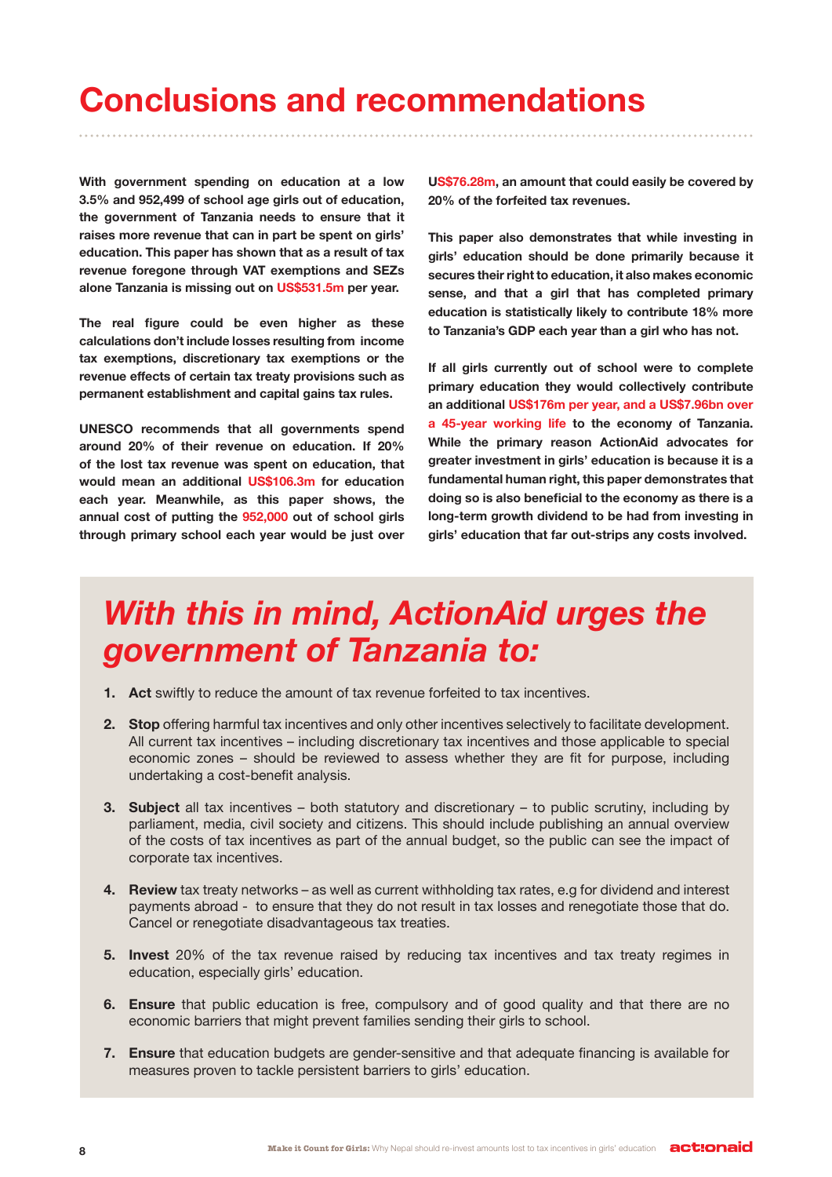## **Conclusions and recommendations**

**With government spending on education at a low 3.5% and 952,499 of school age girls out of education, the government of Tanzania needs to ensure that it raises more revenue that can in part be spent on girls' education. This paper has shown that as a result of tax revenue foregone through VAT exemptions and SEZs alone Tanzania is missing out on US\$531.5m per year.** 

**The real figure could be even higher as these calculations don't include losses resulting from income tax exemptions, discretionary tax exemptions or the revenue effects of certain tax treaty provisions such as permanent establishment and capital gains tax rules.** 

**UNESCO recommends that all governments spend around 20% of their revenue on education. If 20% of the lost tax revenue was spent on education, that would mean an additional US\$106.3m for education each year. Meanwhile, as this paper shows, the annual cost of putting the 952,000 out of school girls through primary school each year would be just over**  **US\$76.28m, an amount that could easily be covered by 20% of the forfeited tax revenues.** 

**This paper also demonstrates that while investing in girls' education should be done primarily because it secures their right to education, it also makes economic sense, and that a girl that has completed primary education is statistically likely to contribute 18% more to Tanzania's GDP each year than a girl who has not.**

**If all girls currently out of school were to complete primary education they would collectively contribute an additional US\$176m per year, and a US\$7.96bn over a 45-year working life to the economy of Tanzania. While the primary reason ActionAid advocates for greater investment in girls' education is because it is a fundamental human right, this paper demonstrates that doing so is also beneficial to the economy as there is a long-term growth dividend to be had from investing in girls' education that far out-strips any costs involved.**

### *With this in mind, ActionAid urges the government of Tanzania to:*

- **1. Act** swiftly to reduce the amount of tax revenue forfeited to tax incentives.
- **2. Stop** offering harmful tax incentives and only other incentives selectively to facilitate development. All current tax incentives – including discretionary tax incentives and those applicable to special economic zones – should be reviewed to assess whether they are fit for purpose, including undertaking a cost-benefit analysis.
- **3. Subject** all tax incentives both statutory and discretionary to public scrutiny, including by parliament, media, civil society and citizens. This should include publishing an annual overview of the costs of tax incentives as part of the annual budget, so the public can see the impact of corporate tax incentives.
- **4. Review** tax treaty networks as well as current withholding tax rates, e.g for dividend and interest payments abroad - to ensure that they do not result in tax losses and renegotiate those that do. Cancel or renegotiate disadvantageous tax treaties.
- **5. Invest** 20% of the tax revenue raised by reducing tax incentives and tax treaty regimes in education, especially girls' education.
- **6. Ensure** that public education is free, compulsory and of good quality and that there are no economic barriers that might prevent families sending their girls to school.
- **7. Ensure** that education budgets are gender-sensitive and that adequate financing is available for measures proven to tackle persistent barriers to girls' education.